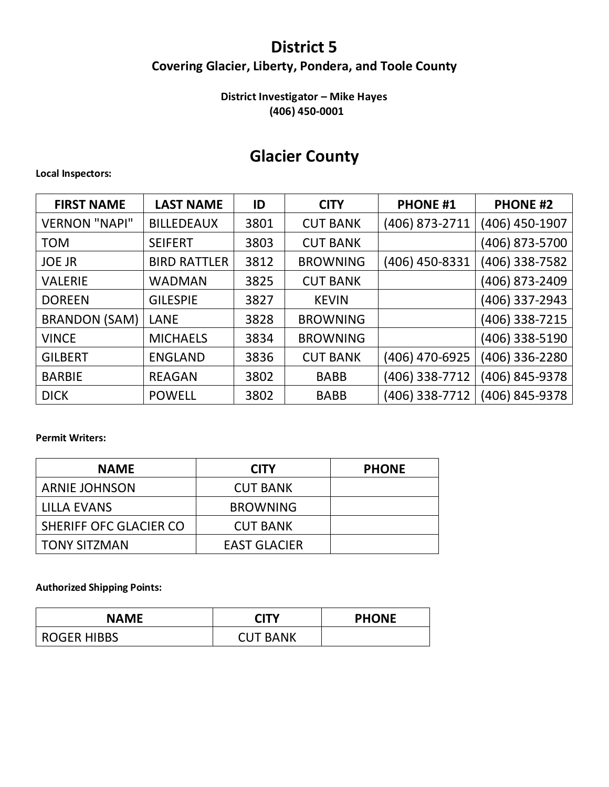# **District 5 Covering Glacier, Liberty, Pondera, and Toole County**

# **District Investigator – Mike Hayes (406) 450-0001**

# **Glacier County**

#### **Local Inspectors:**

| <b>FIRST NAME</b>    | <b>LAST NAME</b>    | ID   | <b>CITY</b>     | <b>PHONE #1</b> | <b>PHONE #2</b> |
|----------------------|---------------------|------|-----------------|-----------------|-----------------|
| <b>VERNON "NAPI"</b> | <b>BILLEDEAUX</b>   | 3801 | <b>CUT BANK</b> | (406) 873-2711  | (406) 450-1907  |
| <b>TOM</b>           | <b>SEIFERT</b>      | 3803 | <b>CUT BANK</b> |                 | (406) 873-5700  |
| <b>JOE JR</b>        | <b>BIRD RATTLER</b> | 3812 | <b>BROWNING</b> | (406) 450-8331  | (406) 338-7582  |
| <b>VALERIE</b>       | <b>WADMAN</b>       | 3825 | <b>CUT BANK</b> |                 | (406) 873-2409  |
| <b>DOREEN</b>        | <b>GILESPIE</b>     | 3827 | <b>KEVIN</b>    |                 | (406) 337-2943  |
| <b>BRANDON (SAM)</b> | LANE                | 3828 | <b>BROWNING</b> |                 | (406) 338-7215  |
| <b>VINCE</b>         | <b>MICHAELS</b>     | 3834 | <b>BROWNING</b> |                 | (406) 338-5190  |
| <b>GILBERT</b>       | <b>ENGLAND</b>      | 3836 | <b>CUT BANK</b> | (406) 470-6925  | (406) 336-2280  |
| <b>BARBIE</b>        | <b>REAGAN</b>       | 3802 | <b>BABB</b>     | (406) 338-7712  | (406) 845-9378  |
| <b>DICK</b>          | <b>POWELL</b>       | 3802 | <b>BABB</b>     | (406) 338-7712  | (406) 845-9378  |

### **Permit Writers:**

| <b>NAME</b>            | <b>CITY</b>     | <b>PHONE</b> |
|------------------------|-----------------|--------------|
| <b>ARNIE JOHNSON</b>   | <b>CUT BANK</b> |              |
| LILLA EVANS            | <b>BROWNING</b> |              |
| SHERIFF OFC GLACIER CO | <b>CUT BANK</b> |              |
| <b>TONY SITZMAN</b>    | EAST GLACIER    |              |

| <b>NAME</b>        | <b>CITY</b>     | <b>PHONE</b> |
|--------------------|-----------------|--------------|
| <b>ROGER HIBBS</b> | <b>CUT BANK</b> |              |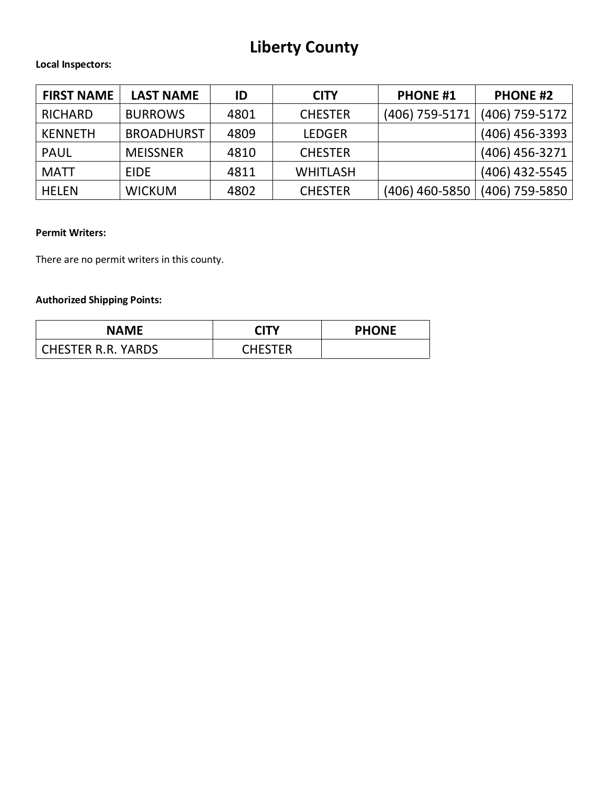# **Liberty County**

#### **Local Inspectors:**

| <b>FIRST NAME</b> | <b>LAST NAME</b>  | ID   | <b>CITY</b>     | <b>PHONE #1</b> | <b>PHONE #2</b>  |
|-------------------|-------------------|------|-----------------|-----------------|------------------|
| <b>RICHARD</b>    | <b>BURROWS</b>    | 4801 | <b>CHESTER</b>  | (406) 759-5171  | $(406)$ 759-5172 |
| <b>KENNETH</b>    | <b>BROADHURST</b> | 4809 | <b>LEDGER</b>   |                 | (406) 456-3393   |
| <b>PAUL</b>       | <b>MEISSNER</b>   | 4810 | <b>CHESTER</b>  |                 | $(406)$ 456-3271 |
| <b>MATT</b>       | <b>EIDE</b>       | 4811 | <b>WHITLASH</b> |                 | $(406)$ 432-5545 |
| <b>HELEN</b>      | <b>WICKUM</b>     | 4802 | <b>CHESTER</b>  | (406) 460-5850  | $(406)$ 759-5850 |

### **Permit Writers:**

There are no permit writers in this county.

| <b>NAME</b>        | <b>CITY</b> | <b>PHONE</b> |
|--------------------|-------------|--------------|
| CHESTER R.R. YARDS | CHESTER     |              |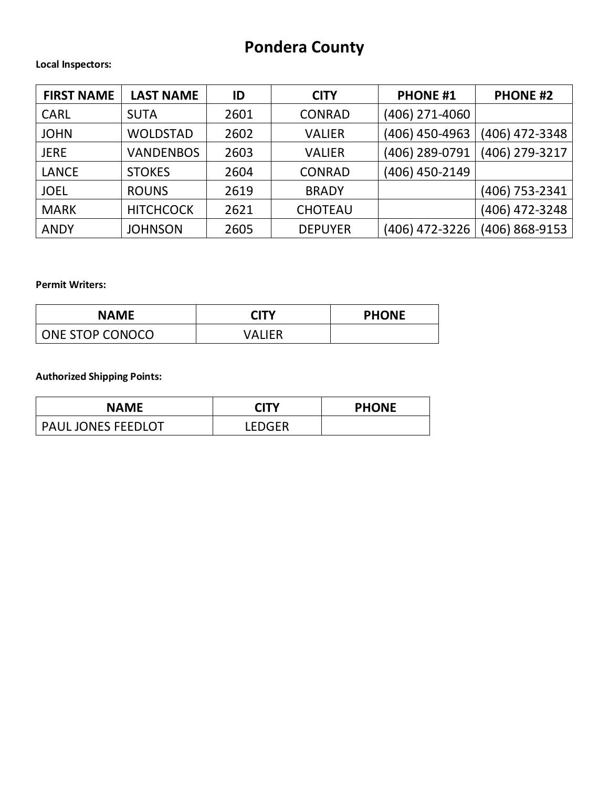# **Pondera County**

#### **Local Inspectors:**

| <b>FIRST NAME</b> | <b>LAST NAME</b> | ID   | <b>CITY</b>    | <b>PHONE #1</b> | <b>PHONE #2</b> |
|-------------------|------------------|------|----------------|-----------------|-----------------|
| <b>CARL</b>       | <b>SUTA</b>      | 2601 | <b>CONRAD</b>  | (406) 271-4060  |                 |
| <b>JOHN</b>       | <b>WOLDSTAD</b>  | 2602 | <b>VALIER</b>  | (406) 450-4963  | (406) 472-3348  |
| <b>JERE</b>       | <b>VANDENBOS</b> | 2603 | <b>VALIER</b>  | (406) 289-0791  | (406) 279-3217  |
| <b>LANCE</b>      | <b>STOKES</b>    | 2604 | <b>CONRAD</b>  | (406) 450-2149  |                 |
| <b>JOEL</b>       | <b>ROUNS</b>     | 2619 | <b>BRADY</b>   |                 | (406) 753-2341  |
| <b>MARK</b>       | <b>HITCHCOCK</b> | 2621 | <b>CHOTEAU</b> |                 | (406) 472-3248  |
| <b>ANDY</b>       | <b>JOHNSON</b>   | 2605 | <b>DEPUYER</b> | (406) 472-3226  | (406) 868-9153  |

### **Permit Writers:**

| <b>NAME</b>            | <b>CITY</b> | <b>PHONE</b> |
|------------------------|-------------|--------------|
| <b>ONE STOP CONOCO</b> | VALIFR      |              |

| <b>NAME</b>               | <b>CITY</b>   | <b>PHONE</b> |
|---------------------------|---------------|--------------|
| <b>PAUL JONES FEEDLOT</b> | <b>LEDGER</b> |              |